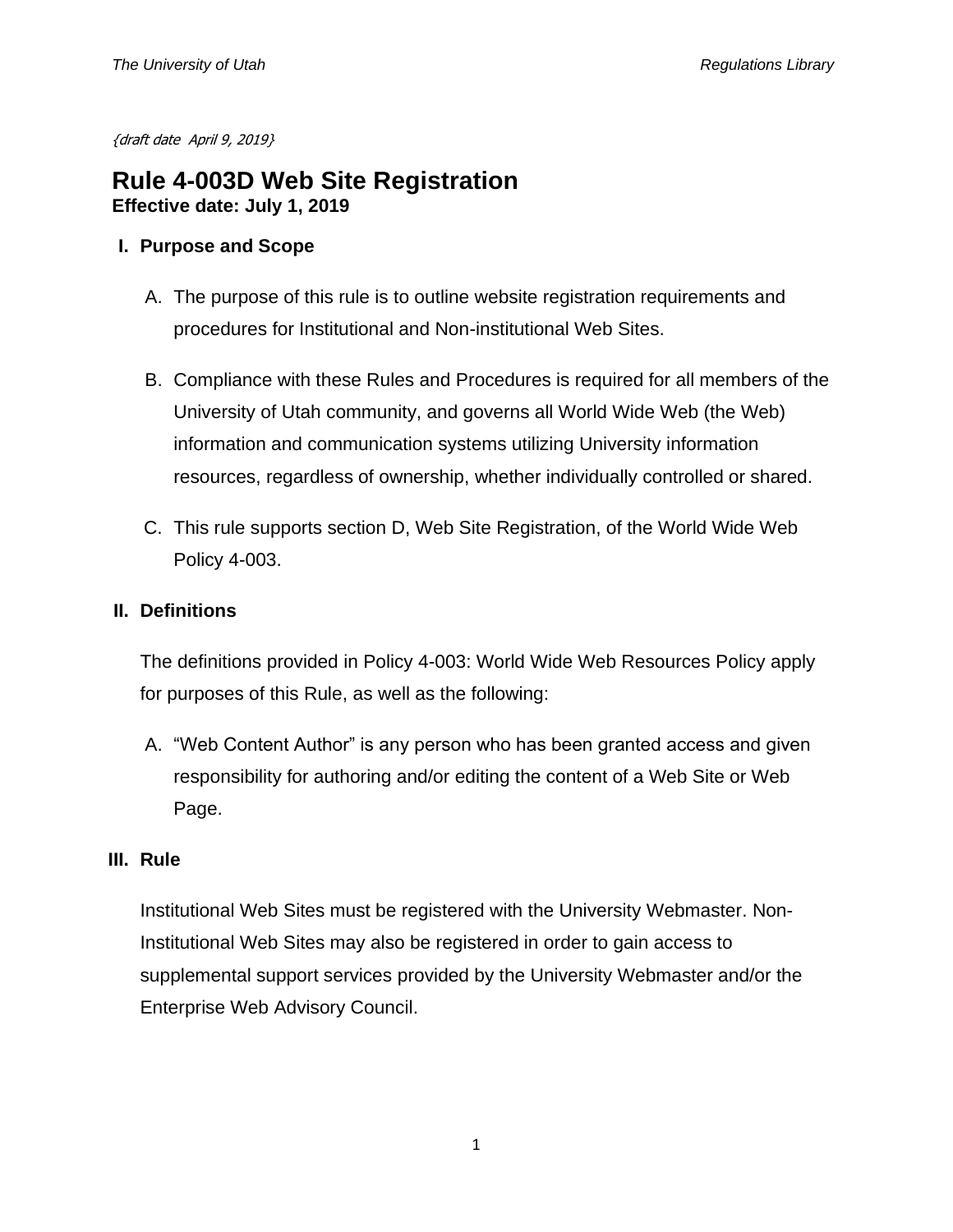{draft date April 9, 2019}

# **Rule 4-003D Web Site Registration Effective date: July 1, 2019**

# **I. Purpose and Scope**

- A. The purpose of this rule is to outline website registration requirements and procedures for Institutional and Non-institutional Web Sites.
- B. Compliance with these Rules and Procedures is required for all members of the University of Utah community, and governs all World Wide Web (the Web) information and communication systems utilizing University information resources, regardless of ownership, whether individually controlled or shared.
- C. This rule supports section D, Web Site Registration, of the World Wide Web Policy 4-003.

## **II. Definitions**

The definitions provided in Policy 4-003: World Wide Web Resources Policy apply for purposes of this Rule, as well as the following:

A. "Web Content Author" is any person who has been granted access and given responsibility for authoring and/or editing the content of a Web Site or Web Page.

## **III. Rule**

Institutional Web Sites must be registered with the University Webmaster. Non-Institutional Web Sites may also be registered in order to gain access to supplemental support services provided by the University Webmaster and/or the Enterprise Web Advisory Council.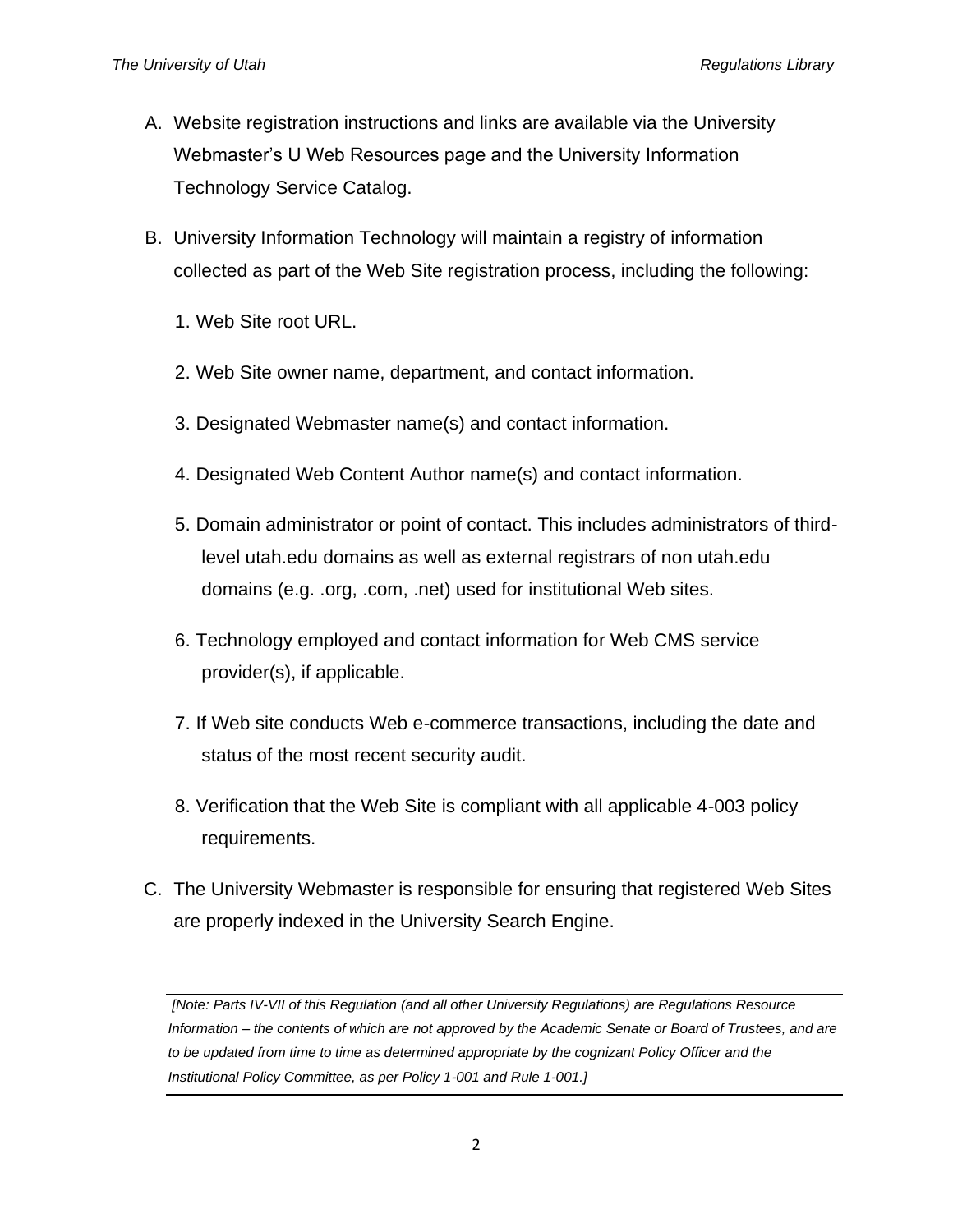- A. Website registration instructions and links are available via the University Webmaster's U Web Resources page and the University Information Technology Service Catalog.
- B. University Information Technology will maintain a registry of information collected as part of the Web Site registration process, including the following:
	- 1. Web Site root URL.
	- 2. Web Site owner name, department, and contact information.
	- 3. Designated Webmaster name(s) and contact information.
	- 4. Designated Web Content Author name(s) and contact information.
	- 5. Domain administrator or point of contact. This includes administrators of thirdlevel utah.edu domains as well as external registrars of non utah.edu domains (e.g. .org, .com, .net) used for institutional Web sites.
	- 6. Technology employed and contact information for Web CMS service provider(s), if applicable.
	- 7. If Web site conducts Web e-commerce transactions, including the date and status of the most recent security audit.
	- 8. Verification that the Web Site is compliant with all applicable 4-003 policy requirements.
- C. The University Webmaster is responsible for ensuring that registered Web Sites are properly indexed in the University Search Engine.

*[Note: Parts IV-VII of this Regulation (and all other University Regulations) are Regulations Resource Information – the contents of which are not approved by the Academic Senate or Board of Trustees, and are*  to be updated from time to time as determined appropriate by the cognizant Policy Officer and the *Institutional Policy Committee, as per Policy 1-001 and Rule 1-001.]*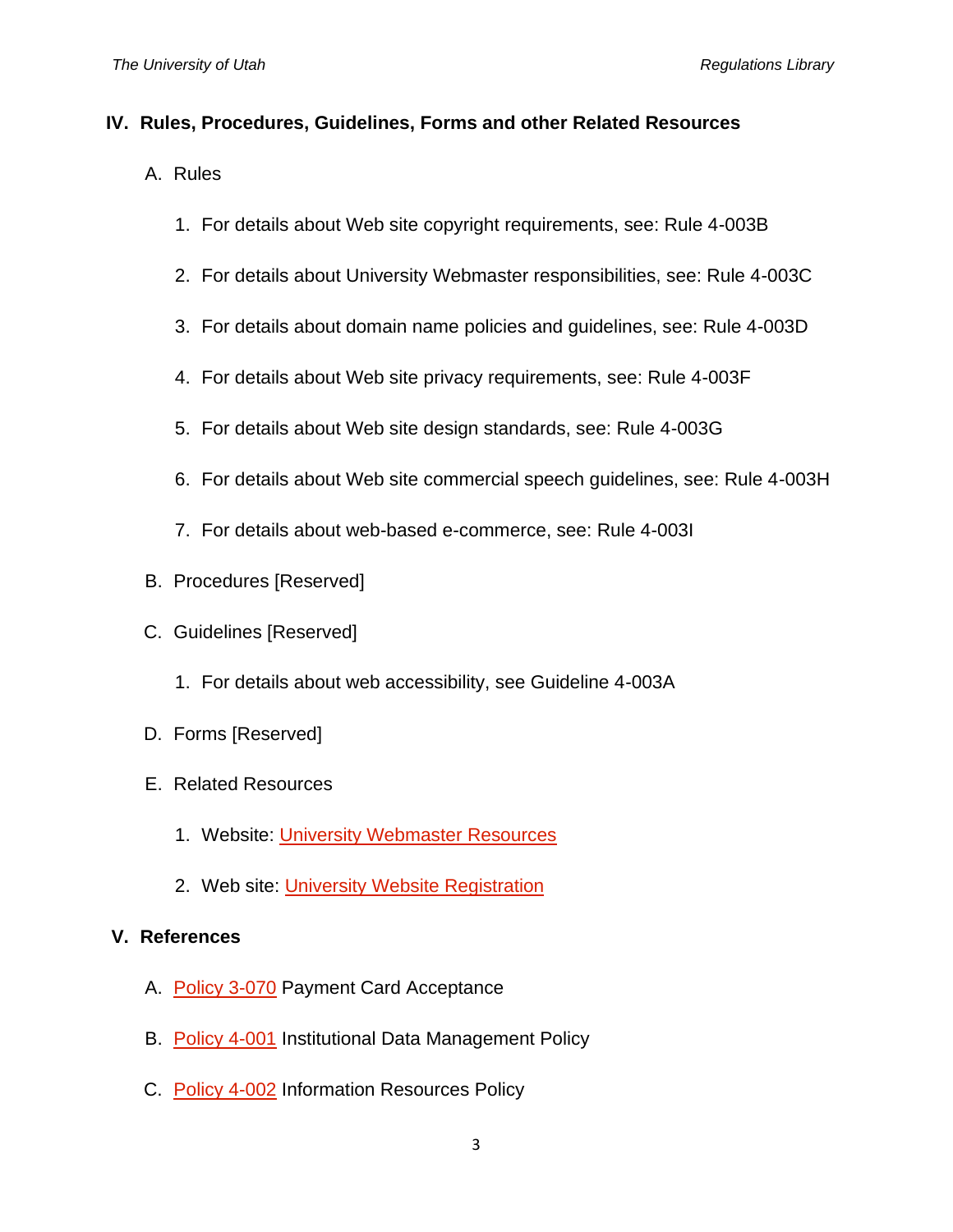#### **IV. Rules, Procedures, Guidelines, Forms and other Related Resources**

- A. Rules
	- 1. For details about Web site copyright requirements, see: Rule 4-003B
	- 2. For details about University Webmaster responsibilities, see: Rule 4-003C
	- 3. For details about domain name policies and guidelines, see: Rule 4-003D
	- 4. For details about Web site privacy requirements, see: Rule 4-003F
	- 5. For details about Web site design standards, see: Rule 4-003G
	- 6. For details about Web site commercial speech guidelines, see: Rule 4-003H
	- 7. For details about web-based e-commerce, see: Rule 4-003I
- B. Procedures [Reserved]
- C. Guidelines [Reserved]
	- 1. For details about web accessibility, see Guideline 4-003A
- D. Forms [Reserved]
- E. Related Resources
	- 1. Website: *University Webmaster Resources*
	- 2. Web site: [University Website Registration](https://uwebresources.utah.edu/registration.php)

## **V. References**

- A. [Policy 3-070](https://regulations.utah.edu/administration/appendices_3/3-070Exec_Summary.php) Payment Card Acceptance
- B. [Policy 4-001](https://regulations.utah.edu/it/4-001.php) Institutional Data Management Policy
- C. [Policy 4-002](https://regulations.utah.edu/it/4-002.php) Information Resources Policy